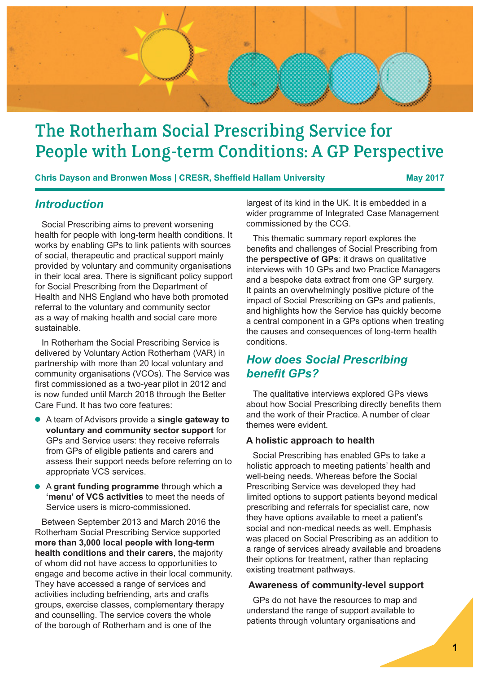

# The Rotherham Social Prescribing Service for People with Long-term Conditions: A GP Perspective

**Chris Dayson and Bronwen Moss | CRESR, Sheffield Hallam University May 2017**

### *Introduction*

Social Prescribing aims to prevent worsening health for people with long-term health conditions. It works by enabling GPs to link patients with sources of social, therapeutic and practical support mainly provided by voluntary and community organisations in their local area. There is significant policy support for Social Prescribing from the Department of Health and NHS England who have both promoted referral to the voluntary and community sector as a way of making health and social care more sustainable.

In Rotherham the Social Prescribing Service is delivered by Voluntary Action Rotherham (VAR) in partnership with more than 20 local voluntary and community organisations (VCOs). The Service was first commissioned as a two-year pilot in 2012 and is now funded until March 2018 through the Better Care Fund. It has two core features:

- A team of Advisors provide a **single gateway to voluntary and community sector support** for GPs and Service users: they receive referrals from GPs of eligible patients and carers and assess their support needs before referring on to appropriate VCS services.
- A **grant funding programme** through which **a 'menu' of VCS activities** to meet the needs of Service users is micro-commissioned.

Between September 2013 and March 2016 the Rotherham Social Prescribing Service supported **more than 3,000 local people with long-term health conditions and their carers**, the majority of whom did not have access to opportunities to engage and become active in their local community. They have accessed a range of services and activities including befriending, arts and crafts groups, exercise classes, complementary therapy and counselling. The service covers the whole of the borough of Rotherham and is one of the

largest of its kind in the UK. It is embedded in a wider programme of Integrated Case Management commissioned by the CCG.

This thematic summary report explores the benefits and challenges of Social Prescribing from the **perspective of GPs**: it draws on qualitative interviews with 10 GPs and two Practice Managers and a bespoke data extract from one GP surgery. It paints an overwhelmingly positive picture of the impact of Social Prescribing on GPs and patients, and highlights how the Service has quickly become a central component in a GPs options when treating the causes and consequences of long-term health conditions.

## *How does Social Prescribing benefit GPs?*

The qualitative interviews explored GPs views about how Social Prescribing directly benefits them and the work of their Practice. A number of clear themes were evident.

### **A holistic approach to health**

Social Prescribing has enabled GPs to take a holistic approach to meeting patients' health and well-being needs. Whereas before the Social Prescribing Service was developed they had limited options to support patients beyond medical prescribing and referrals for specialist care, now they have options available to meet a patient's social and non-medical needs as well. Emphasis was placed on Social Prescribing as an addition to a range of services already available and broadens their options for treatment, rather than replacing existing treatment pathways.

### **Awareness of community-level support**

GPs do not have the resources to map and understand the range of support available to patients through voluntary organisations and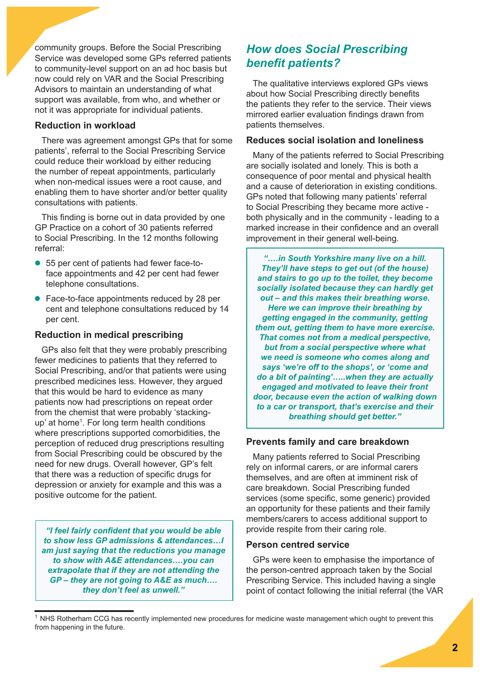community groups. Before the Social Prescribing Service was developed some GPs referred patients to community-level support on an ad hoc basis but now could rely on VAR and the Social Prescribing Advisors to maintain an understanding of what support was available, from who, and whether or not it was appropriate for individual patients.

### **Reduction in workload**

There was agreement amongst GPs that for some patients', referral to the Social Prescribing Service could reduce their workload by either reducing the number of repeat appointments, particularly when non-medical issues were a root cause, and enabling them to have shorter and/or better quality consultations with patients.

This finding is borne out in data provided by one GP Practice on a cohort of 30 patients referred to Social Prescribing. In the 12 months following referral:

- 55 per cent of patients had fewer face-toface appointments and 42 per cent had fewer telephone consultations.
- Face-to-face appointments reduced by 28 per cent and telephone consultations reduced by 14 per cent.

### **Reduction in medical prescribing**

GPs also felt that they were probably prescribing fewer medicines to patients that they referred to Social Prescribing, and/or that patients were using prescribed medicines less. However, they argued that this would be hard to evidence as many patients now had prescriptions on repeat order from the chemist that were probably 'stackingup' at home<sup>1</sup> . For long term health conditions where prescriptions supported comorbidities, the perception of reduced drug prescriptions resulting from Social Prescribing could be obscured by the need for new drugs. Overall however, GP's felt that there was a reduction of specific drugs for depression or anxiety for example and this was a positive outcome for the patient.

*"I feel fairly confident that you would be able to show less GP admissions & attendances…I am just saying that the reductions you manage to show with A&E attendances….you can extrapolate that if they are not attending the GP – they are not going to A&E as much…. they don't feel as unwell."*

# *How does Social Prescribing benefit patients?*

The qualitative interviews explored GPs views about how Social Prescribing directly benefits the patients they refer to the service. Their views mirrored earlier evaluation findings drawn from patients themselves.

### **Reduces social isolation and loneliness**

Many of the patients referred to Social Prescribing are socially isolated and lonely. This is both a consequence of poor mental and physical health and a cause of deterioration in existing conditions. GPs noted that following many patients' referral to Social Prescribing they became more active both physically and in the community - leading to a marked increase in their confidence and an overall improvement in their general well-being.

*"….in South Yorkshire many live on a hill. They'll have steps to get out (of the house) and stairs to go up to the toilet, they become socially isolated because they can hardly get out – and this makes their breathing worse. Here we can improve their breathing by getting engaged in the community, getting them out, getting them to have more exercise. That comes not from a medical perspective, but from a social perspective where what we need is someone who comes along and says 'we're off to the shops', or 'come and do a bit of painting'…..when they are actually engaged and motivated to leave their front door, because even the action of walking down to a car or transport, that's exercise and their breathing should get better."*

### **Prevents family and care breakdown**

Many patients referred to Social Prescribing rely on informal carers, or are informal carers themselves, and are often at imminent risk of care breakdown. Social Prescribing funded services (some specific, some generic) provided an opportunity for these patients and their family members/carers to access additional support to provide respite from their caring role.

### **Person centred service**

GPs were keen to emphasise the importance of the person-centred approach taken by the Social Prescribing Service. This included having a single point of contact following the initial referral (the VAR

 $<sup>1</sup>$  NHS Rotherham CCG has recently implemented new procedures for medicine waste management which ought to prevent this</sup> from happening in the future.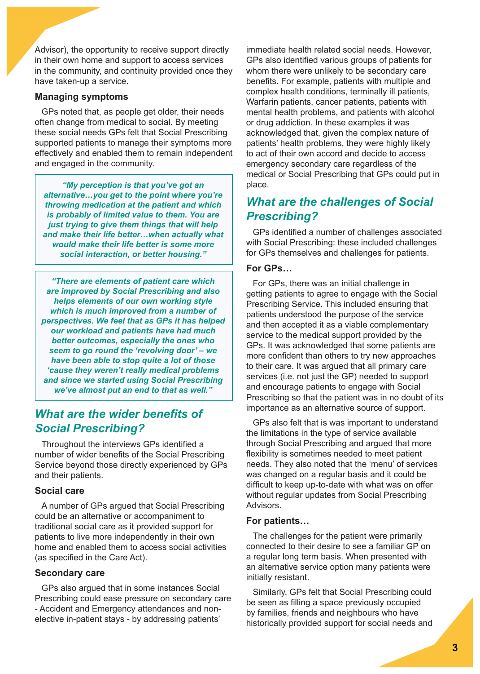Advisor), the opportunity to receive support directly in their own home and support to access services in the community, and continuity provided once they have taken-up a service.

#### **Managing symptoms**

GPs noted that, as people get older, their needs often change from medical to social. By meeting these social needs GPs felt that Social Prescribing supported patients to manage their symptoms more effectively and enabled them to remain independent and engaged in the community.

*"My perception is that you've got an alternative…you get to the point where you're throwing medication at the patient and which is probably of limited value to them. You are just trying to give them things that will help and make their life better…when actually what would make their life better is some more social interaction, or better housing."*

*"There are elements of patient care which are improved by Social Prescribing and also helps elements of our own working style which is much improved from a number of perspectives. We feel that as GPs it has helped our workload and patients have had much better outcomes, especially the ones who seem to go round the 'revolving door' – we have been able to stop quite a lot of those 'cause they weren't really medical problems and since we started using Social Prescribing we've almost put an end to that as well."*

### *What are the wider benefits of Social Prescribing?*

Throughout the interviews GPs identified a number of wider benefits of the Social Prescribing Service beyond those directly experienced by GPs and their patients.

### **Social care**

A number of GPs argued that Social Prescribing could be an alternative or accompaniment to traditional social care as it provided support for patients to live more independently in their own home and enabled them to access social activities (as specified in the Care Act).

#### **Secondary care**

GPs also argued that in some instances Social Prescribing could ease pressure on secondary care - Accident and Emergency attendances and nonelective in-patient stays - by addressing patients'

immediate health related social needs. However, GPs also identified various groups of patients for whom there were unlikely to be secondary care benefits. For example, patients with multiple and complex health conditions, terminally ill patients, Warfarin patients, cancer patients, patients with mental health problems, and patients with alcohol or drug addiction. In these examples it was acknowledged that, given the complex nature of patients' health problems, they were highly likely to act of their own accord and decide to access emergency secondary care regardless of the medical or Social Prescribing that GPs could put in place.

# *What are the challenges of Social Prescribing?*

GPs identified a number of challenges associated with Social Prescribing: these included challenges for GPs themselves and challenges for patients.

### **For GPs…**

For GPs, there was an initial challenge in getting patients to agree to engage with the Social Prescribing Service. This included ensuring that patients understood the purpose of the service and then accepted it as a viable complementary service to the medical support provided by the GPs. It was acknowledged that some patients are more confident than others to try new approaches to their care. It was argued that all primary care services (i.e. not just the GP) needed to support and encourage patients to engage with Social Prescribing so that the patient was in no doubt of its importance as an alternative source of support.

GPs also felt that is was important to understand the limitations in the type of service available through Social Prescribing and argued that more flexibility is sometimes needed to meet patient needs. They also noted that the 'menu' of services was changed on a regular basis and it could be difficult to keep up-to-date with what was on offer without regular updates from Social Prescribing Advisors.

#### **For patients…**

The challenges for the patient were primarily connected to their desire to see a familiar GP on a regular long term basis. When presented with an alternative service option many patients were initially resistant.

Similarly, GPs felt that Social Prescribing could be seen as filling a space previously occupied by families, friends and neighbours who have historically provided support for social needs and